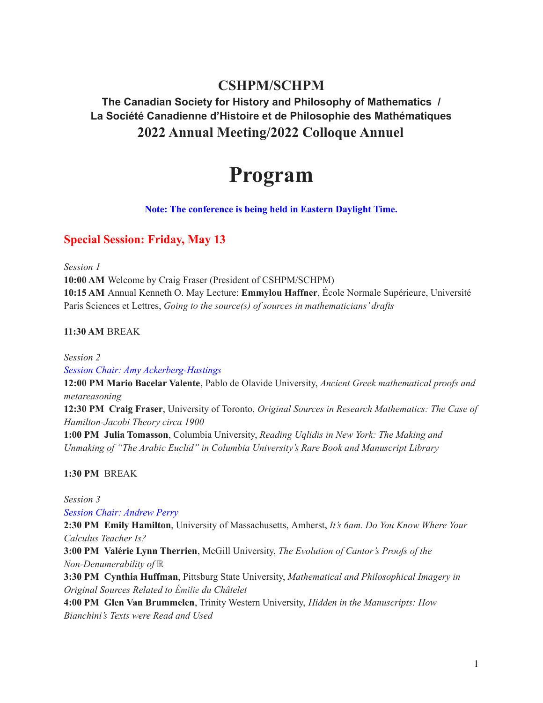# **CSHPM/SCHPM**

# **The Canadian Society for History and Philosophy of Mathematics / La Société Canadienne d'Histoire et de Philosophie des Mathématiques 2022 Annual Meeting/2022 Colloque Annuel**

# **Program**

#### **Note: The conference is being held in Eastern Daylight Time.**

## **Special Session: Friday, May 13**

*Session 1*

**10:00 AM** Welcome by Craig Fraser (President of CSHPM/SCHPM) **10:15 AM** Annual Kenneth O. May Lecture: **Emmylou Haffner**, École Normale Supérieure, Université Paris Sciences et Lettres, *Going to the source(s) of sources in mathematicians' drafts*

#### **11:30 AM** BREAK

*Session 2 Session Chair: Amy Ackerberg-Hastings*

**12:00 PM Mario Bacelar Valente**, Pablo de Olavide University, *Ancient Greek mathematical proofs and metareasoning*

**12:30 PM Craig Fraser**, University of Toronto, *Original Sources in Research Mathematics: The Case of Hamilton-Jacobi Theory circa 1900*

**1:00 PM Julia Tomasson**, Columbia University, *Reading Uqlidis in New York: The Making and Unmaking of "The Arabic Euclid" in Columbia University's Rare Book and Manuscript Library*

**1:30 PM** BREAK

*Session 3*

*Session Chair: Andrew Perry*

**2:30 PM Emily Hamilton**, University of Massachusetts, Amherst, *It's 6am. Do You Know Where Your Calculus Teacher Is?*

**3:00 PM Valérie Lynn Therrien**, McGill University, *The Evolution of Cantor's Proofs of the Non-Denumerability of* ℝ

**3:30 PM Cynthia Huffman**, Pittsburg State University, *Mathematical and Philosophical Imagery in Original Sources Related to Émilie du Châtelet*

**4:00 PM Glen Van Brummelen**, Trinity Western University, *Hidden in the Manuscripts: How Bianchini's Texts were Read and Used*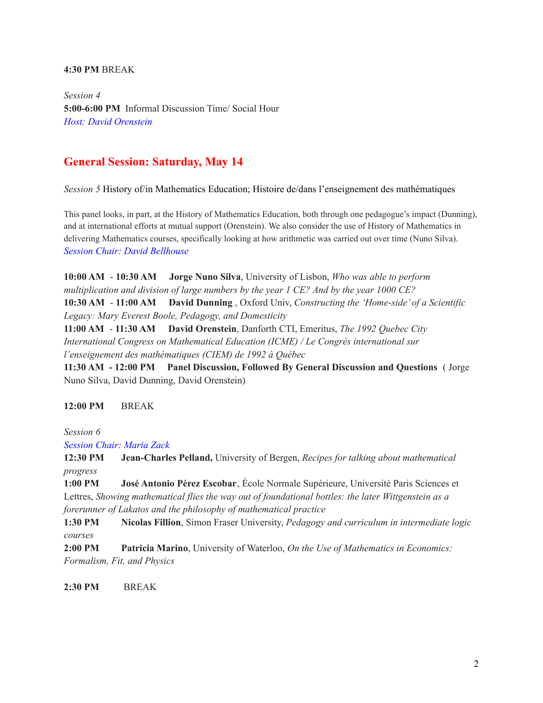#### **4:30 PM** BREAK

*Session 4* **5:00-6:00 PM** Informal Discussion Time/ Social Hour *Host: David Orenstein*

## **General Session: Saturday, May 14**

*Session 5* History of/in Mathematics Education; Histoire de/dans l'enseignement des mathématiques

This panel looks, in part, at the History of Mathematics Education, both through one pedagogue's impact (Dunning), and at international efforts at mutual support (Orenstein). We also consider the use of History of Mathematics in delivering Mathematics courses, specifically looking at how arithmetic was carried out over time (Nuno Silva). *Session Chair: David Bellhouse*

**10:00 AM** - **10:30 AM Jorge Nuno Silva**, University of Lisbon, *Who was able to perform multiplication and division of large numbers by the year 1 CE? And by the year 1000 CE?* **10:30 AM** - **11:00 AM David Dunning** , Oxford Univ, *Constructing the 'Home-side' of a Scientific Legacy: Mary Everest Boole, Pedagogy, and Domesticity*

**11:00 AM** - **11:30 AM David Orenstein**, Danforth CTI, Emeritus, *The 1992 Quebec City International Congress on Mathematical Education (ICME) / Le Congrès international sur l'enseignement des mathématiques (CIEM) de 1992 à Québec*

**11:30 AM - 12:00 PM Panel Discussion, Followed By General Discussion and Questions** ( Jorge Nuno Silva, David Dunning, David Orenstein)

#### **12:00 PM** BREAK

*Session 6*

*Session Chair: Maria Zack*

**12:30 PM Jean-Charles Pelland,** University of Bergen, *Recipes for talking about mathematical progress*

**1:00 PM José Antonio Pérez Escobar**, École Normale Supérieure, Université Paris Sciences et Lettres, *Showing mathematical flies the way out of foundational bottles: the later Wittgenstein as a forerunner of Lakatos and the philosophy of mathematical practice*

**1:30 PM Nicolas Fillion**, Simon Fraser University, *Pedagogy and curriculum in intermediate logic courses*

**2:00 PM Patricia Marino**, University of Waterloo, *On the Use of Mathematics in Economics: Formalism, Fit, and Physics*

**2:30 PM** BREAK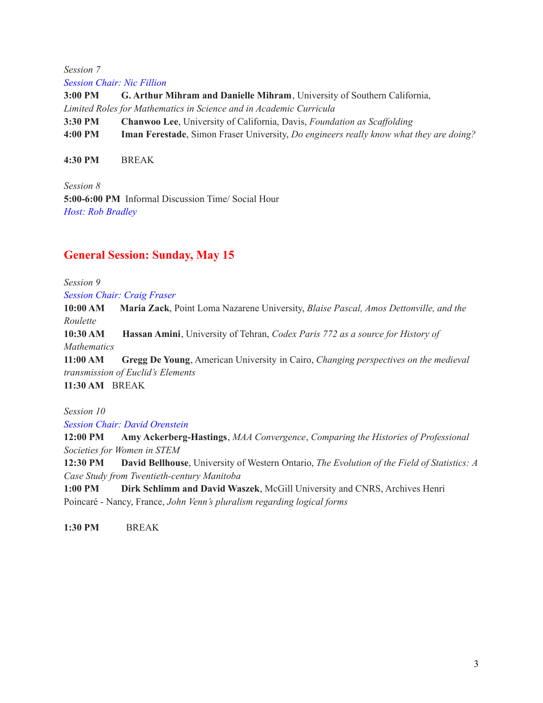*Session 7 Session Chair: Nic Fillion*

**3:00 PM G. Arthur Mihram and Danielle Mihram**, University of Southern California, *Limited Roles for Mathematics in Science and in Academic Curricula* **3:30 PM Chanwoo Lee**, University of California, Davis, *Foundation as Scaffolding* **4:00 PM Iman Ferestade**, Simon Fraser University, *Do engineers really know what they are doing?*

**4:30 PM** BREAK

*Session 8* **5:00-6:00 PM** Informal Discussion Time/ Social Hour *Host: Rob Bradley*

# **General Session: Sunday, May 15**

*Session 9*

*Session Chair: Craig Fraser*

**10:00 AM Maria Zack**, Point Loma Nazarene University, *Blaise Pascal, Amos Dettonville, and the Roulette*

**10:30 AM Hassan Amini**, University of Tehran, *Codex Paris 772 as a source for History of Mathematics*

**11:00 AM Gregg De Young**, American University in Cairo, *Changing perspectives on the medieval transmission of Euclid's Elements* **11:30 AM** BREAK

*Session 10*

*Session Chair: David Orenstein*

**12:00 PM Amy Ackerberg-Hastings**, *MAA Convergence*, *Comparing the Histories of Professional Societies for Women in STEM*

**12:30 PM David Bellhouse**, University of Western Ontario, *The Evolution of the Field of Statistics: A Case Study from Twentieth-century Manitoba*

**1:00 PM Dirk Schlimm and David Waszek**, McGill University and CNRS, Archives Henri Poincaré - Nancy, France, *John Venn's pluralism regarding logical forms*

**1:30 PM** BREAK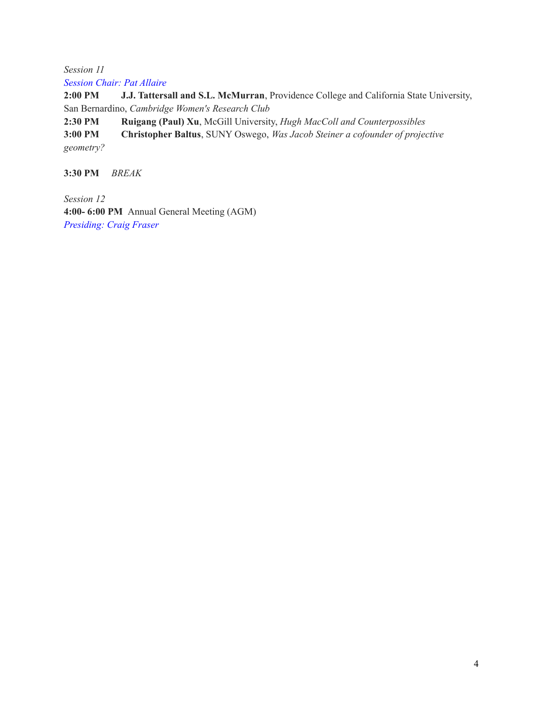*Session 11 Session Chair: Pat Allaire*

**2:00 PM J.J. Tattersall and S.L. McMurran**, Providence College and California State University, San Bernardino, *Cambridge Women's Research Club*

**2:30 PM Ruigang (Paul) Xu**, McGill University, *Hugh MacColl and Counterpossibles*

**3:00 PM Christopher Baltus**, SUNY Oswego, *Was Jacob Steiner a cofounder of projective geometry?*

**3:30 PM** *BREAK*

*Session 12* **4:00- 6:00 PM** Annual General Meeting (AGM) *Presiding: Craig Fraser*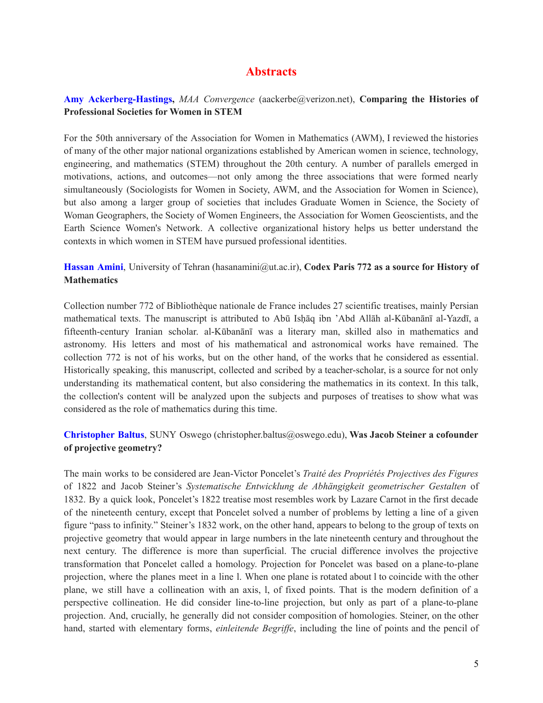# **Abstracts**

#### **Amy Ackerberg-Hastings,** *MAA Convergence* (aackerbe@verizon.net), **Comparing the Histories of Professional Societies for Women in STEM**

For the 50th anniversary of the Association for Women in Mathematics (AWM), I reviewed the histories of many of the other major national organizations established by American women in science, technology, engineering, and mathematics (STEM) throughout the 20th century. A number of parallels emerged in motivations, actions, and outcomes—not only among the three associations that were formed nearly simultaneously (Sociologists for Women in Society, AWM, and the Association for Women in Science), but also among a larger group of societies that includes Graduate Women in Science, the Society of Woman Geographers, the Society of Women Engineers, the Association for Women Geoscientists, and the Earth Science Women's Network. A collective organizational history helps us better understand the contexts in which women in STEM have pursued professional identities.

**Hassan Amini**, University of Tehran (hasanamini@ut.ac.ir), **Codex Paris 772 as a source for History of Mathematics**

Collection number 772 of Bibliothèque nationale de France includes 27 scientific treatises, mainly Persian mathematical texts. The manuscript is attributed to Abū Isḥāq ibn 'Abd Allāh al-Kūbanānī al-Yazdī, a fifteenth-century Iranian scholar. al-Kūbanānī was a literary man, skilled also in mathematics and astronomy. His letters and most of his mathematical and astronomical works have remained. The collection 772 is not of his works, but on the other hand, of the works that he considered as essential. Historically speaking, this manuscript, collected and scribed by a teacher-scholar, is a source for not only understanding its mathematical content, but also considering the mathematics in its context. In this talk, the collection's content will be analyzed upon the subjects and purposes of treatises to show what was considered as the role of mathematics during this time.

### **Christopher Baltus**, SUNY Oswego (christopher.baltus@oswego.edu), **Was Jacob Steiner a cofounder of projective geometry?**

The main works to be considered are Jean-Victor Poncelet's *Traité des Propriétés Projectives des Figures* of 1822 and Jacob Steiner's *Systematische Entwicklung de Abhängigkeit geometrischer Gestalten* of 1832. By a quick look, Poncelet's 1822 treatise most resembles work by Lazare Carnot in the first decade of the nineteenth century, except that Poncelet solved a number of problems by letting a line of a given figure "pass to infinity." Steiner's 1832 work, on the other hand, appears to belong to the group of texts on projective geometry that would appear in large numbers in the late nineteenth century and throughout the next century. The difference is more than superficial. The crucial difference involves the projective transformation that Poncelet called a homology. Projection for Poncelet was based on a plane-to-plane projection, where the planes meet in a line l. When one plane is rotated about l to coincide with the other plane, we still have a collineation with an axis, l, of fixed points. That is the modern definition of a perspective collineation. He did consider line-to-line projection, but only as part of a plane-to-plane projection. And, crucially, he generally did not consider composition of homologies. Steiner, on the other hand, started with elementary forms, *einleitende Begriffe*, including the line of points and the pencil of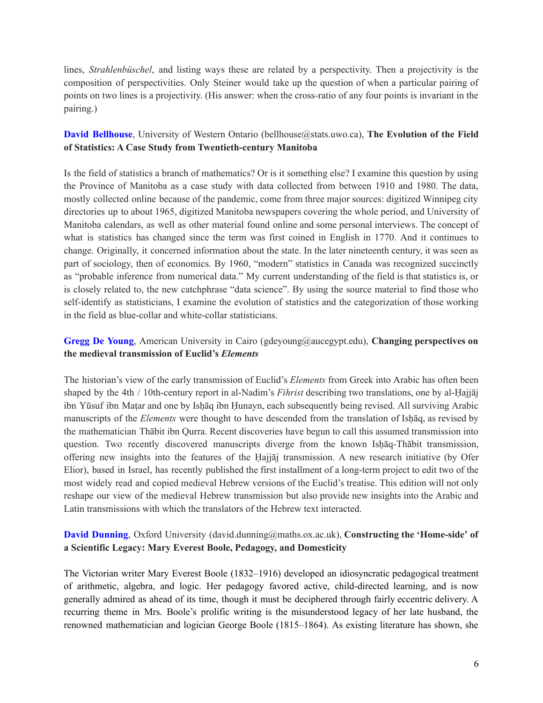lines, *Strahlenbüschel*, and listing ways these are related by a perspectivity. Then a projectivity is the composition of perspectivities. Only Steiner would take up the question of when a particular pairing of points on two lines is a projectivity. (His answer: when the cross-ratio of any four points is invariant in the pairing.)

### **David Bellhouse**, University of Western Ontario (bellhouse@stats.uwo.ca), **The Evolution of the Field of Statistics: A Case Study from Twentieth-century Manitoba**

Is the field of statistics a branch of mathematics? Or is it something else? I examine this question by using the Province of Manitoba as a case study with data collected from between 1910 and 1980. The data, mostly collected online because of the pandemic, come from three major sources: digitized Winnipeg city directories up to about 1965, digitized Manitoba newspapers covering the whole period, and University of Manitoba calendars, as well as other material found online and some personal interviews. The concept of what is statistics has changed since the term was first coined in English in 1770. And it continues to change. Originally, it concerned information about the state. In the later nineteenth century, it was seen as part of sociology, then of economics. By 1960, "modern" statistics in Canada was recognized succinctly as "probable inference from numerical data." My current understanding of the field is that statistics is, or is closely related to, the new catchphrase "data science". By using the source material to find those who self-identify as statisticians, I examine the evolution of statistics and the categorization of those working in the field as blue-collar and white-collar statisticians.

### **Gregg De Young**, American University in Cairo (gdeyoung@aucegypt.edu), **Changing perspectives on the medieval transmission of Euclid's** *Elements*

The historian's view of the early transmission of Euclid's *Elements* from Greek into Arabic has often been shaped by the 4th / 10th-century report in al-Nadim's *Fihrist* describing two translations, one by al-Ḥajjāj ibn Yūsuf ibn Maṭar and one by Isḥāq ibn Ḥunayn, each subsequently being revised. All surviving Arabic manuscripts of the *Elements* were thought to have descended from the translation of Ishaq, as revised by the mathematician Thābit ibn Qurra. Recent discoveries have begun to call this assumed transmission into question. Two recently discovered manuscripts diverge from the known Isḥāq-Thābit transmission, offering new insights into the features of the Ḥajjāj transmission. A new research initiative (by Ofer Elior), based in Israel, has recently published the first installment of a long-term project to edit two of the most widely read and copied medieval Hebrew versions of the Euclid's treatise. This edition will not only reshape our view of the medieval Hebrew transmission but also provide new insights into the Arabic and Latin transmissions with which the translators of the Hebrew text interacted.

### **David Dunning**, Oxford University (david.dunning@maths.ox.ac.uk), **Constructing the 'Home-side' of a Scientific Legacy: Mary Everest Boole, Pedagogy, and Domesticity**

The Victorian writer Mary Everest Boole (1832–1916) developed an idiosyncratic pedagogical treatment of arithmetic, algebra, and logic. Her pedagogy favored active, child-directed learning, and is now generally admired as ahead of its time, though it must be deciphered through fairly eccentric delivery. A recurring theme in Mrs. Boole's prolific writing is the misunderstood legacy of her late husband, the renowned mathematician and logician George Boole (1815–1864). As existing literature has shown, she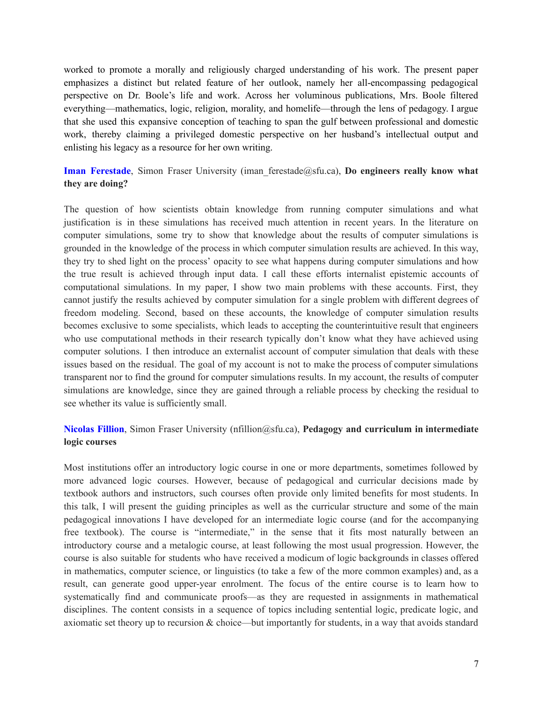worked to promote a morally and religiously charged understanding of his work. The present paper emphasizes a distinct but related feature of her outlook, namely her all-encompassing pedagogical perspective on Dr. Boole's life and work. Across her voluminous publications, Mrs. Boole filtered everything—mathematics, logic, religion, morality, and homelife—through the lens of pedagogy. I argue that she used this expansive conception of teaching to span the gulf between professional and domestic work, thereby claiming a privileged domestic perspective on her husband's intellectual output and enlisting his legacy as a resource for her own writing.

**Iman Ferestade**, Simon Fraser University (iman\_ferestade@sfu.ca), **Do engineers really know what they are doing?**

The question of how scientists obtain knowledge from running computer simulations and what justification is in these simulations has received much attention in recent years. In the literature on computer simulations, some try to show that knowledge about the results of computer simulations is grounded in the knowledge of the process in which computer simulation results are achieved. In this way, they try to shed light on the process' opacity to see what happens during computer simulations and how the true result is achieved through input data. I call these efforts internalist epistemic accounts of computational simulations. In my paper, I show two main problems with these accounts. First, they cannot justify the results achieved by computer simulation for a single problem with different degrees of freedom modeling. Second, based on these accounts, the knowledge of computer simulation results becomes exclusive to some specialists, which leads to accepting the counterintuitive result that engineers who use computational methods in their research typically don't know what they have achieved using computer solutions. I then introduce an externalist account of computer simulation that deals with these issues based on the residual. The goal of my account is not to make the process of computer simulations transparent nor to find the ground for computer simulations results. In my account, the results of computer simulations are knowledge, since they are gained through a reliable process by checking the residual to see whether its value is sufficiently small.

### **Nicolas Fillion**, Simon Fraser University (nfillion@sfu.ca), **Pedagogy and curriculum in intermediate logic courses**

Most institutions offer an introductory logic course in one or more departments, sometimes followed by more advanced logic courses. However, because of pedagogical and curricular decisions made by textbook authors and instructors, such courses often provide only limited benefits for most students. In this talk, I will present the guiding principles as well as the curricular structure and some of the main pedagogical innovations I have developed for an intermediate logic course (and for the accompanying free textbook). The course is "intermediate," in the sense that it fits most naturally between an introductory course and a metalogic course, at least following the most usual progression. However, the course is also suitable for students who have received a modicum of logic backgrounds in classes offered in mathematics, computer science, or linguistics (to take a few of the more common examples) and, as a result, can generate good upper-year enrolment. The focus of the entire course is to learn how to systematically find and communicate proofs—as they are requested in assignments in mathematical disciplines. The content consists in a sequence of topics including sentential logic, predicate logic, and axiomatic set theory up to recursion & choice—but importantly for students, in a way that avoids standard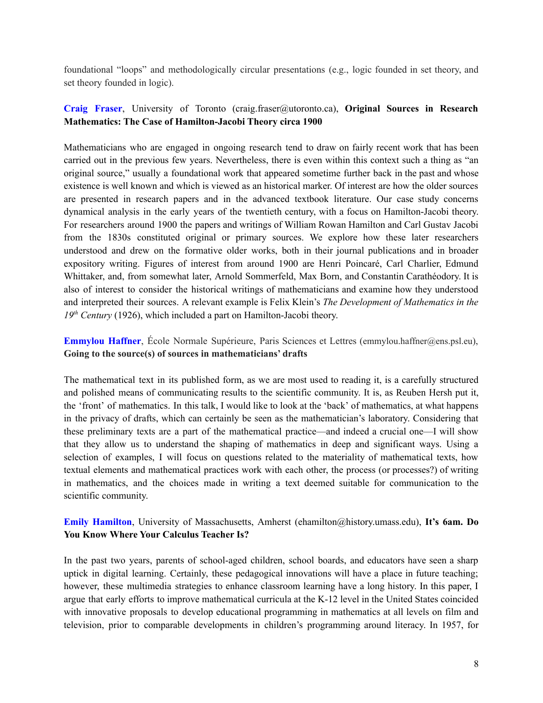foundational "loops" and methodologically circular presentations (e.g., logic founded in set theory, and set theory founded in logic).

#### **Craig Fraser**, University of Toronto (craig.fraser@utoronto.ca), **Original Sources in Research Mathematics: The Case of Hamilton-Jacobi Theory circa 1900**

Mathematicians who are engaged in ongoing research tend to draw on fairly recent work that has been carried out in the previous few years. Nevertheless, there is even within this context such a thing as "an original source," usually a foundational work that appeared sometime further back in the past and whose existence is well known and which is viewed as an historical marker. Of interest are how the older sources are presented in research papers and in the advanced textbook literature. Our case study concerns dynamical analysis in the early years of the twentieth century, with a focus on Hamilton-Jacobi theory. For researchers around 1900 the papers and writings of William Rowan Hamilton and Carl Gustav Jacobi from the 1830s constituted original or primary sources. We explore how these later researchers understood and drew on the formative older works, both in their journal publications and in broader expository writing. Figures of interest from around 1900 are Henri Poincaré, Carl Charlier, Edmund Whittaker, and, from somewhat later, Arnold Sommerfeld, Max Born, and Constantin Carathéodory. It is also of interest to consider the historical writings of mathematicians and examine how they understood and interpreted their sources. A relevant example is Felix Klein's *The Development of Mathematics in the* 19<sup>th</sup> Century (1926), which included a part on Hamilton-Jacobi theory.

**Emmylou Haffner**, École Normale Supérieure, Paris Sciences et Lettres (emmylou.haffner@ens.psl.eu), **Going to the source(s) of sources in mathematicians' drafts**

The mathematical text in its published form, as we are most used to reading it, is a carefully structured and polished means of communicating results to the scientific community. It is, as Reuben Hersh put it, the 'front' of mathematics. In this talk, I would like to look at the 'back' of mathematics, at what happens in the privacy of drafts, which can certainly be seen as the mathematician's laboratory. Considering that these preliminary texts are a part of the mathematical practice—and indeed a crucial one—I will show that they allow us to understand the shaping of mathematics in deep and significant ways. Using a selection of examples, I will focus on questions related to the materiality of mathematical texts, how textual elements and mathematical practices work with each other, the process (or processes?) of writing in mathematics, and the choices made in writing a text deemed suitable for communication to the scientific community.

#### **Emily Hamilton**, University of Massachusetts, Amherst (ehamilton@history.umass.edu), **It's 6am. Do You Know Where Your Calculus Teacher Is?**

In the past two years, parents of school-aged children, school boards, and educators have seen a sharp uptick in digital learning. Certainly, these pedagogical innovations will have a place in future teaching; however, these multimedia strategies to enhance classroom learning have a long history. In this paper, I argue that early efforts to improve mathematical curricula at the K-12 level in the United States coincided with innovative proposals to develop educational programming in mathematics at all levels on film and television, prior to comparable developments in children's programming around literacy. In 1957, for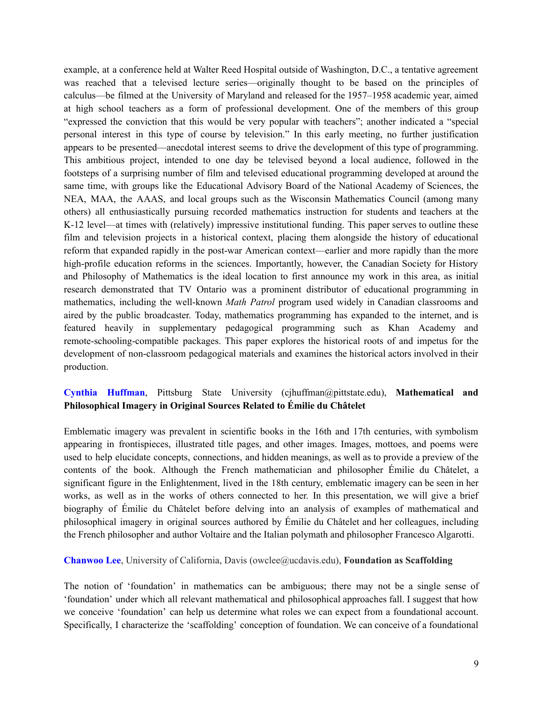example, at a conference held at Walter Reed Hospital outside of Washington, D.C., a tentative agreement was reached that a televised lecture series—originally thought to be based on the principles of calculus—be filmed at the University of Maryland and released for the 1957–1958 academic year, aimed at high school teachers as a form of professional development. One of the members of this group "expressed the conviction that this would be very popular with teachers"; another indicated a "special personal interest in this type of course by television." In this early meeting, no further justification appears to be presented—anecdotal interest seems to drive the development of this type of programming. This ambitious project, intended to one day be televised beyond a local audience, followed in the footsteps of a surprising number of film and televised educational programming developed at around the same time, with groups like the Educational Advisory Board of the National Academy of Sciences, the NEA, MAA, the AAAS, and local groups such as the Wisconsin Mathematics Council (among many others) all enthusiastically pursuing recorded mathematics instruction for students and teachers at the K-12 level—at times with (relatively) impressive institutional funding. This paper serves to outline these film and television projects in a historical context, placing them alongside the history of educational reform that expanded rapidly in the post-war American context—earlier and more rapidly than the more high-profile education reforms in the sciences. Importantly, however, the Canadian Society for History and Philosophy of Mathematics is the ideal location to first announce my work in this area, as initial research demonstrated that TV Ontario was a prominent distributor of educational programming in mathematics, including the well-known *Math Patrol* program used widely in Canadian classrooms and aired by the public broadcaster. Today, mathematics programming has expanded to the internet, and is featured heavily in supplementary pedagogical programming such as Khan Academy and remote-schooling-compatible packages. This paper explores the historical roots of and impetus for the development of non-classroom pedagogical materials and examines the historical actors involved in their production.

#### **Cynthia Huffman**, Pittsburg State University (cjhuffman@pittstate.edu), **Mathematical and Philosophical Imagery in Original Sources Related to Émilie du Châtelet**

Emblematic imagery was prevalent in scientific books in the 16th and 17th centuries, with symbolism appearing in frontispieces, illustrated title pages, and other images. Images, mottoes, and poems were used to help elucidate concepts, connections, and hidden meanings, as well as to provide a preview of the contents of the book. Although the French mathematician and philosopher Émilie du Châtelet, a significant figure in the Enlightenment, lived in the 18th century, emblematic imagery can be seen in her works, as well as in the works of others connected to her. In this presentation, we will give a brief biography of Émilie du Châtelet before delving into an analysis of examples of mathematical and philosophical imagery in original sources authored by Émilie du Châtelet and her colleagues, including the French philosopher and author Voltaire and the Italian polymath and philosopher Francesco Algarotti.

#### **Chanwoo Lee**, University of California, Davis (owclee@ucdavis.edu), **Foundation as Scaffolding**

The notion of 'foundation' in mathematics can be ambiguous; there may not be a single sense of 'foundation' under which all relevant mathematical and philosophical approaches fall. I suggest that how we conceive 'foundation' can help us determine what roles we can expect from a foundational account. Specifically, I characterize the 'scaffolding' conception of foundation. We can conceive of a foundational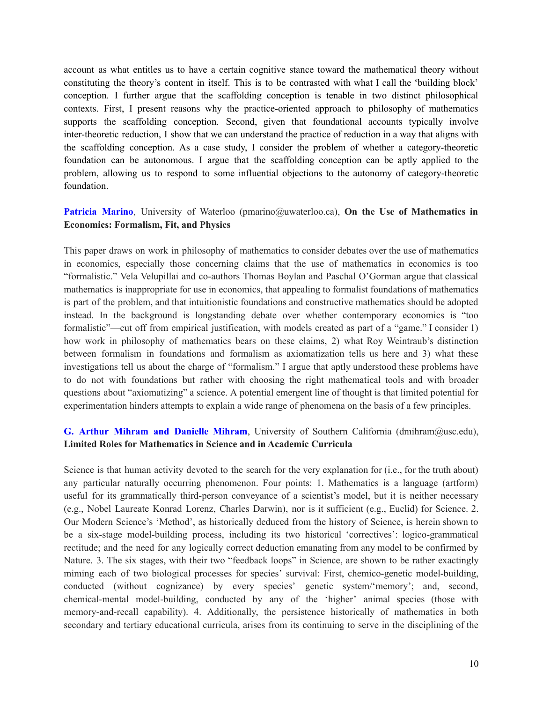account as what entitles us to have a certain cognitive stance toward the mathematical theory without constituting the theory's content in itself. This is to be contrasted with what I call the 'building block' conception. I further argue that the scaffolding conception is tenable in two distinct philosophical contexts. First, I present reasons why the practice-oriented approach to philosophy of mathematics supports the scaffolding conception. Second, given that foundational accounts typically involve inter-theoretic reduction, I show that we can understand the practice of reduction in a way that aligns with the scaffolding conception. As a case study, I consider the problem of whether a category-theoretic foundation can be autonomous. I argue that the scaffolding conception can be aptly applied to the problem, allowing us to respond to some influential objections to the autonomy of category-theoretic foundation.

#### **Patricia Marino**, University of Waterloo (pmarino@uwaterloo.ca), **On the Use of Mathematics in Economics: Formalism, Fit, and Physics**

This paper draws on work in philosophy of mathematics to consider debates over the use of mathematics in economics, especially those concerning claims that the use of mathematics in economics is too "formalistic." Vela Velupillai and co-authors Thomas Boylan and Paschal O'Gorman argue that classical mathematics is inappropriate for use in economics, that appealing to formalist foundations of mathematics is part of the problem, and that intuitionistic foundations and constructive mathematics should be adopted instead. In the background is longstanding debate over whether contemporary economics is "too formalistic"—cut off from empirical justification, with models created as part of a "game." I consider 1) how work in philosophy of mathematics bears on these claims, 2) what Roy Weintraub's distinction between formalism in foundations and formalism as axiomatization tells us here and 3) what these investigations tell us about the charge of "formalism." I argue that aptly understood these problems have to do not with foundations but rather with choosing the right mathematical tools and with broader questions about "axiomatizing" a science. A potential emergent line of thought is that limited potential for experimentation hinders attempts to explain a wide range of phenomena on the basis of a few principles.

#### **G. Arthur Mihram and Danielle Mihram**, University of Southern California (dmihram@usc.edu), **Limited Roles for Mathematics in Science and in Academic Curricula**

Science is that human activity devoted to the search for the very explanation for (i.e., for the truth about) any particular naturally occurring phenomenon. Four points: 1. Mathematics is a language (artform) useful for its grammatically third-person conveyance of a scientist's model, but it is neither necessary (e.g., Nobel Laureate Konrad Lorenz, Charles Darwin), nor is it sufficient (e.g., Euclid) for Science. 2. Our Modern Science's 'Method', as historically deduced from the history of Science, is herein shown to be a six-stage model-building process, including its two historical 'correctives': logico-grammatical rectitude; and the need for any logically correct deduction emanating from any model to be confirmed by Nature. 3. The six stages, with their two "feedback loops" in Science, are shown to be rather exactingly miming each of two biological processes for species' survival: First, chemico-genetic model-building, conducted (without cognizance) by every species' genetic system/'memory'; and, second, chemical-mental model-building, conducted by any of the 'higher' animal species (those with memory-and-recall capability). 4. Additionally, the persistence historically of mathematics in both secondary and tertiary educational curricula, arises from its continuing to serve in the disciplining of the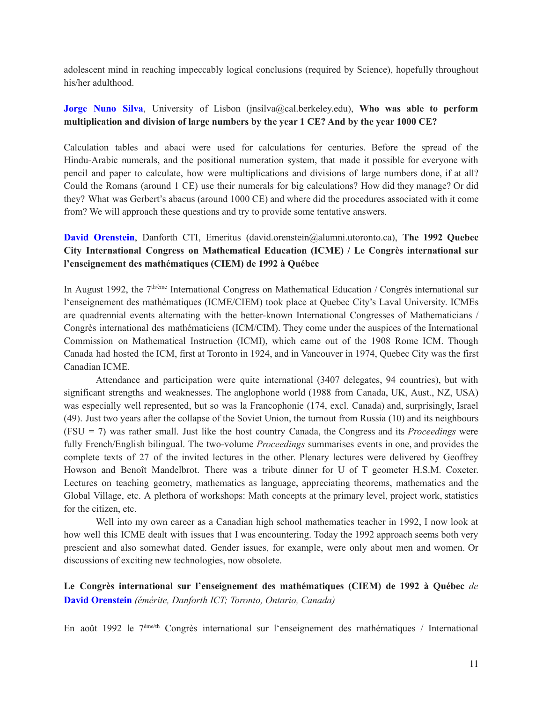adolescent mind in reaching impeccably logical conclusions (required by Science), hopefully throughout his/her adulthood.

#### **Jorge Nuno Silva**, University of Lisbon (jnsilva@cal.berkeley.edu), **Who was able to perform multiplication and division of large numbers by the year 1 CE? And by the year 1000 CE?**

Calculation tables and abaci were used for calculations for centuries. Before the spread of the Hindu-Arabic numerals, and the positional numeration system, that made it possible for everyone with pencil and paper to calculate, how were multiplications and divisions of large numbers done, if at all? Could the Romans (around 1 CE) use their numerals for big calculations? How did they manage? Or did they? What was Gerbert's abacus (around 1000 CE) and where did the procedures associated with it come from? We will approach these questions and try to provide some tentative answers.

## **David Orenstein**, Danforth CTI, Emeritus (david.orenstein@alumni.utoronto.ca), **The 1992 Quebec City International Congress on Mathematical Education (ICME) / Le Congrès international sur l'enseignement des mathématiques (CIEM) de 1992 à Québec**

In August 1992, the 7<sup>th/ème</sup> International Congress on Mathematical Education / Congrès international sur l'enseignement des mathématiques (ICME/CIEM) took place at Quebec City's Laval University. ICMEs are quadrennial events alternating with the better-known International Congresses of Mathematicians / Congrès international des mathématiciens (ICM/CIM). They come under the auspices of the International Commission on Mathematical Instruction (ICMI), which came out of the 1908 Rome ICM. Though Canada had hosted the ICM, first at Toronto in 1924, and in Vancouver in 1974, Quebec City was the first Canadian ICME.

Attendance and participation were quite international (3407 delegates, 94 countries), but with significant strengths and weaknesses. The anglophone world (1988 from Canada, UK, Aust., NZ, USA) was especially well represented, but so was la Francophonie (174, excl. Canada) and, surprisingly, Israel (49). Just two years after the collapse of the Soviet Union, the turnout from Russia (10) and its neighbours (FSU = 7) was rather small. Just like the host country Canada, the Congress and its *Proceedings* were fully French/English bilingual. The two-volume *Proceedings* summarises events in one, and provides the complete texts of 27 of the invited lectures in the other. Plenary lectures were delivered by Geoffrey Howson and Benoît Mandelbrot. There was a tribute dinner for U of T geometer H.S.M. Coxeter. Lectures on teaching geometry, mathematics as language, appreciating theorems, mathematics and the Global Village, etc. A plethora of workshops: Math concepts at the primary level, project work, statistics for the citizen, etc.

Well into my own career as a Canadian high school mathematics teacher in 1992, I now look at how well this ICME dealt with issues that I was encountering. Today the 1992 approach seems both very prescient and also somewhat dated. Gender issues, for example, were only about men and women. Or discussions of exciting new technologies, now obsolete.

**Le Congrès international sur l'enseignement des mathématiques (CIEM) de 1992 à Québec** *de* **David Orenstein** *(émérite, Danforth ICT; Toronto, Ontario, Canada)*

En août 1992 le 7<sup>ème/th</sup> Congrès international sur l'enseignement des mathématiques / International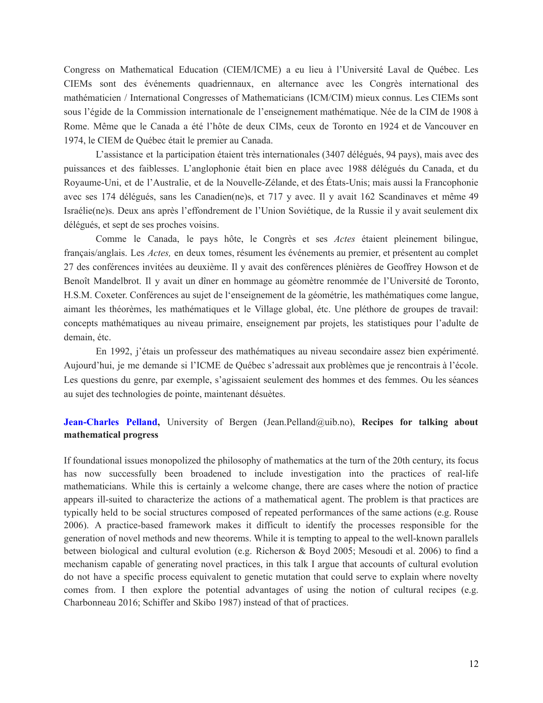Congress on Mathematical Education (CIEM/ICME) a eu lieu à l'Université Laval de Québec. Les CIEMs sont des événements quadriennaux, en alternance avec les Congrès international des mathématicien / International Congresses of Mathematicians (ICM/CIM) mieux connus. Les CIEMs sont sous l'égide de la Commission internationale de l'enseignement mathématique. Née de la CIM de 1908 à Rome. Même que le Canada a été l'hôte de deux CIMs, ceux de Toronto en 1924 et de Vancouver en 1974, le CIEM de Québec était le premier au Canada.

L'assistance et la participation étaient très internationales (3407 délégués, 94 pays), mais avec des puissances et des faiblesses. L'anglophonie était bien en place avec 1988 délégués du Canada, et du Royaume-Uni, et de l'Australie, et de la Nouvelle-Zélande, et des États-Unis; mais aussi la Francophonie avec ses 174 délégués, sans les Canadien(ne)s, et 717 y avec. Il y avait 162 Scandinaves et même 49 Israélie(ne)s. Deux ans après l'effondrement de l'Union Soviétique, de la Russie il y avait seulement dix délégués, et sept de ses proches voisins.

Comme le Canada, le pays hôte, le Congrès et ses *Actes* étaient pleinement bilingue, français/anglais. Les *Actes,* en deux tomes, résument les événements au premier, et présentent au complet 27 des conférences invitées au deuxième. Il y avait des conférences plénières de Geoffrey Howson et de Benoît Mandelbrot. Il y avait un dîner en hommage au géomètre renommée de l'Université de Toronto, H.S.M. Coxeter. Conférences au sujet de l'enseignement de la géométrie, les mathématiques come langue, aimant les théorèmes, les mathématiques et le Village global, étc. Une pléthore de groupes de travail: concepts mathématiques au niveau primaire, enseignement par projets, les statistiques pour l'adulte de demain, étc.

En 1992, j'étais un professeur des mathématiques au niveau secondaire assez bien expérimenté. Aujourd'hui, je me demande si l'ICME de Québec s'adressait aux problèmes que je rencontrais à l'école. Les questions du genre, par exemple, s'agissaient seulement des hommes et des femmes. Ou les séances au sujet des technologies de pointe, maintenant désuètes.

**Jean-Charles Pelland,** University of Bergen (Jean.Pelland@uib.no), **Recipes for talking about mathematical progress**

If foundational issues monopolized the philosophy of mathematics at the turn of the 20th century, its focus has now successfully been broadened to include investigation into the practices of real-life mathematicians. While this is certainly a welcome change, there are cases where the notion of practice appears ill-suited to characterize the actions of a mathematical agent. The problem is that practices are typically held to be social structures composed of repeated performances of the same actions (e.g. Rouse 2006). A practice-based framework makes it difficult to identify the processes responsible for the generation of novel methods and new theorems. While it is tempting to appeal to the well-known parallels between biological and cultural evolution (e.g. Richerson & Boyd 2005; Mesoudi et al. 2006) to find a mechanism capable of generating novel practices, in this talk I argue that accounts of cultural evolution do not have a specific process equivalent to genetic mutation that could serve to explain where novelty comes from. I then explore the potential advantages of using the notion of cultural recipes (e.g. Charbonneau 2016; Schiffer and Skibo 1987) instead of that of practices.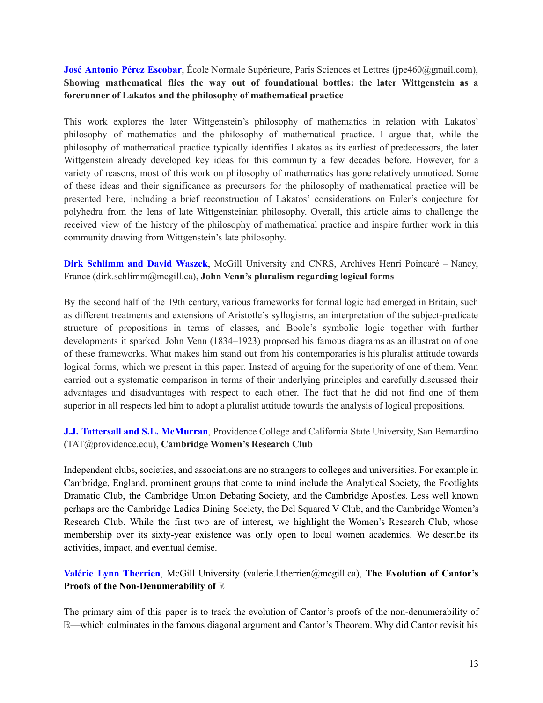**José Antonio Pérez Escobar**, École Normale Supérieure, Paris Sciences et Lettres (jpe460@gmail.com), **Showing mathematical flies the way out of foundational bottles: the later Wittgenstein as a forerunner of Lakatos and the philosophy of mathematical practice**

This work explores the later Wittgenstein's philosophy of mathematics in relation with Lakatos' philosophy of mathematics and the philosophy of mathematical practice. I argue that, while the philosophy of mathematical practice typically identifies Lakatos as its earliest of predecessors, the later Wittgenstein already developed key ideas for this community a few decades before. However, for a variety of reasons, most of this work on philosophy of mathematics has gone relatively unnoticed. Some of these ideas and their significance as precursors for the philosophy of mathematical practice will be presented here, including a brief reconstruction of Lakatos' considerations on Euler's conjecture for polyhedra from the lens of late Wittgensteinian philosophy. Overall, this article aims to challenge the received view of the history of the philosophy of mathematical practice and inspire further work in this community drawing from Wittgenstein's late philosophy.

**Dirk Schlimm and David Waszek**, McGill University and CNRS, Archives Henri Poincaré – Nancy, France (dirk.schlimm@mcgill.ca), **John Venn's pluralism regarding logical forms**

By the second half of the 19th century, various frameworks for formal logic had emerged in Britain, such as different treatments and extensions of Aristotle's syllogisms, an interpretation of the subject-predicate structure of propositions in terms of classes, and Boole's symbolic logic together with further developments it sparked. John Venn (1834–1923) proposed his famous diagrams as an illustration of one of these frameworks. What makes him stand out from his contemporaries is his pluralist attitude towards logical forms, which we present in this paper. Instead of arguing for the superiority of one of them, Venn carried out a systematic comparison in terms of their underlying principles and carefully discussed their advantages and disadvantages with respect to each other. The fact that he did not find one of them superior in all respects led him to adopt a pluralist attitude towards the analysis of logical propositions.

**J.J. Tattersall and S.L. McMurran**, Providence College and California State University, San Bernardino (TAT@providence.edu), **Cambridge Women's Research Club**

Independent clubs, societies, and associations are no strangers to colleges and universities. For example in Cambridge, England, prominent groups that come to mind include the Analytical Society, the Footlights Dramatic Club, the Cambridge Union Debating Society, and the Cambridge Apostles. Less well known perhaps are the Cambridge Ladies Dining Society, the Del Squared V Club, and the Cambridge Women's Research Club. While the first two are of interest, we highlight the Women's Research Club, whose membership over its sixty-year existence was only open to local women academics. We describe its activities, impact, and eventual demise.

### **Valérie Lynn Therrien**, McGill University (valerie.l.therrien@mcgill.ca), **The Evolution of Cantor's Proofs of the Non-Denumerability of** ℝ

The primary aim of this paper is to track the evolution of Cantor's proofs of the non-denumerability of ℝ—which culminates in the famous diagonal argument and Cantor's Theorem. Why did Cantor revisit his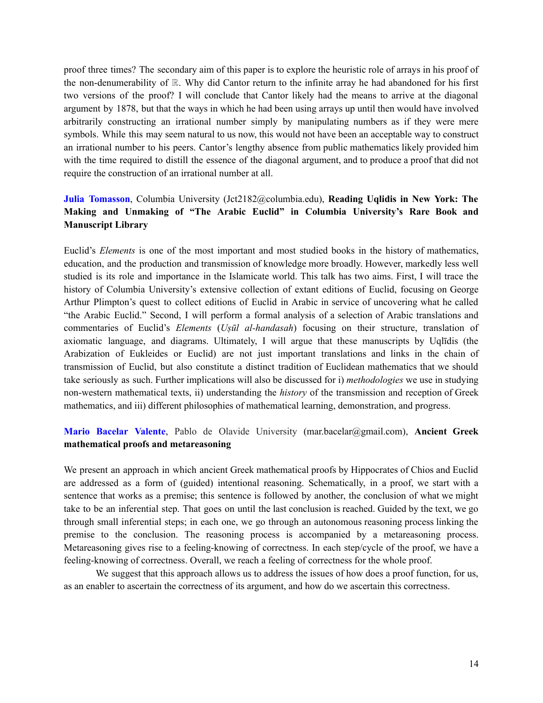proof three times? The secondary aim of this paper is to explore the heuristic role of arrays in his proof of the non-denumerability of ℝ. Why did Cantor return to the infinite array he had abandoned for his first two versions of the proof? I will conclude that Cantor likely had the means to arrive at the diagonal argument by 1878, but that the ways in which he had been using arrays up until then would have involved arbitrarily constructing an irrational number simply by manipulating numbers as if they were mere symbols. While this may seem natural to us now, this would not have been an acceptable way to construct an irrational number to his peers. Cantor's lengthy absence from public mathematics likely provided him with the time required to distill the essence of the diagonal argument, and to produce a proof that did not require the construction of an irrational number at all.

### **Julia Tomasson**, Columbia University (Jct2182@columbia.edu), **Reading Uqlidis in New York: The Making and Unmaking of "The Arabic Euclid" in Columbia University's Rare Book and Manuscript Library**

Euclid's *Elements* is one of the most important and most studied books in the history of mathematics, education, and the production and transmission of knowledge more broadly. However, markedly less well studied is its role and importance in the Islamicate world. This talk has two aims. First, I will trace the history of Columbia University's extensive collection of extant editions of Euclid, focusing on George Arthur Plimpton's quest to collect editions of Euclid in Arabic in service of uncovering what he called "the Arabic Euclid." Second, I will perform a formal analysis of a selection of Arabic translations and commentaries of Euclid's *Elements* (*Uṣūl al-handasah*) focusing on their structure, translation of axiomatic language, and diagrams. Ultimately, I will argue that these manuscripts by Uqlīdis (the Arabization of Eukleides or Euclid) are not just important translations and links in the chain of transmission of Euclid, but also constitute a distinct tradition of Euclidean mathematics that we should take seriously as such. Further implications will also be discussed for i) *methodologies* we use in studying non-western mathematical texts, ii) understanding the *history* of the transmission and reception of Greek mathematics, and iii) different philosophies of mathematical learning, demonstration, and progress.

#### **Mario Bacelar Valente**, Pablo de Olavide University (mar.bacelar@gmail.com), **Ancient Greek mathematical proofs and metareasoning**

We present an approach in which ancient Greek mathematical proofs by Hippocrates of Chios and Euclid are addressed as a form of (guided) intentional reasoning. Schematically, in a proof, we start with a sentence that works as a premise; this sentence is followed by another, the conclusion of what we might take to be an inferential step. That goes on until the last conclusion is reached. Guided by the text, we go through small inferential steps; in each one, we go through an autonomous reasoning process linking the premise to the conclusion. The reasoning process is accompanied by a metareasoning process. Metareasoning gives rise to a feeling-knowing of correctness. In each step/cycle of the proof, we have a feeling-knowing of correctness. Overall, we reach a feeling of correctness for the whole proof.

We suggest that this approach allows us to address the issues of how does a proof function, for us, as an enabler to ascertain the correctness of its argument, and how do we ascertain this correctness.